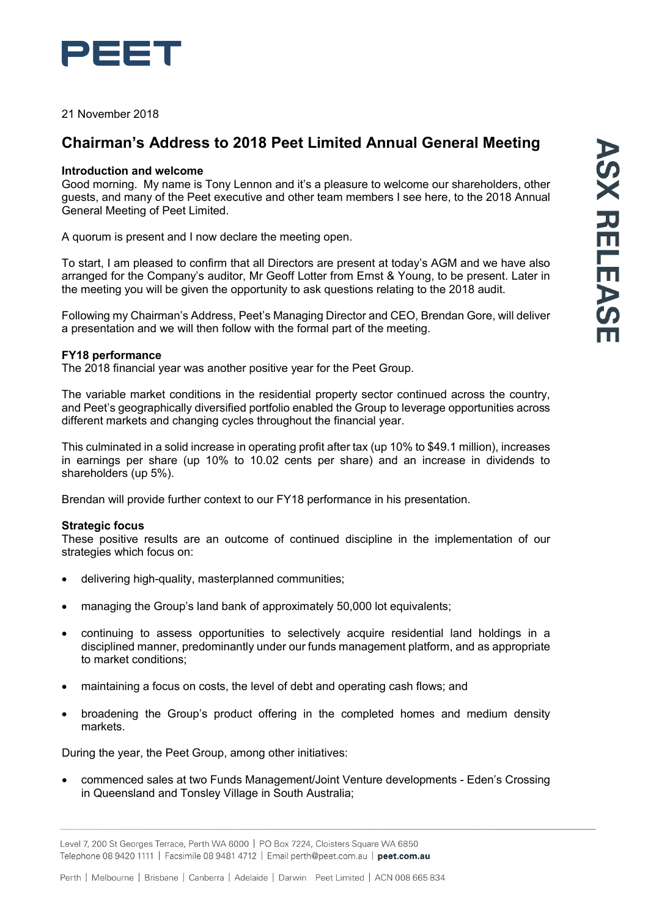

21 November 2018

# **Chairman's Address to 2018 Peet Limited Annual General Meeting**

# **Introduction and welcome**

Good morning. My name is Tony Lennon and it's a pleasure to welcome our shareholders, other guests, and many of the Peet executive and other team members I see here, to the 2018 Annual General Meeting of Peet Limited.

A quorum is present and I now declare the meeting open.

To start, I am pleased to confirm that all Directors are present at today's AGM and we have also arranged for the Company's auditor, Mr Geoff Lotter from Ernst & Young, to be present. Later in the meeting you will be given the opportunity to ask questions relating to the 2018 audit.

Following my Chairman's Address, Peet's Managing Director and CEO, Brendan Gore, will deliver a presentation and we will then follow with the formal part of the meeting.

# **FY18 performance**

The 2018 financial year was another positive year for the Peet Group.

The variable market conditions in the residential property sector continued across the country, and Peet's geographically diversified portfolio enabled the Group to leverage opportunities across different markets and changing cycles throughout the financial year.

This culminated in a solid increase in operating profit after tax (up 10% to \$49.1 million), increases in earnings per share (up 10% to 10.02 cents per share) and an increase in dividends to shareholders (up 5%).

Brendan will provide further context to our FY18 performance in his presentation.

# **Strategic focus**

These positive results are an outcome of continued discipline in the implementation of our strategies which focus on:

- delivering high-quality, masterplanned communities;
- managing the Group's land bank of approximately 50,000 lot equivalents;
- continuing to assess opportunities to selectively acquire residential land holdings in a disciplined manner, predominantly under our funds management platform, and as appropriate to market conditions;
- maintaining a focus on costs, the level of debt and operating cash flows; and
- broadening the Group's product offering in the completed homes and medium density markets.

During the year, the Peet Group, among other initiatives:

• commenced sales at two Funds Management/Joint Venture developments - Eden's Crossing in Queensland and Tonsley Village in South Australia;

Level 7, 200 St Georges Terrace, Perth WA 6000 | PO Box 7224, Cloisters Square WA 6850 Telephone 08 9420 1111 | Facsimile 08 9481 4712 | Email perth@peet.com.au | peet.com.au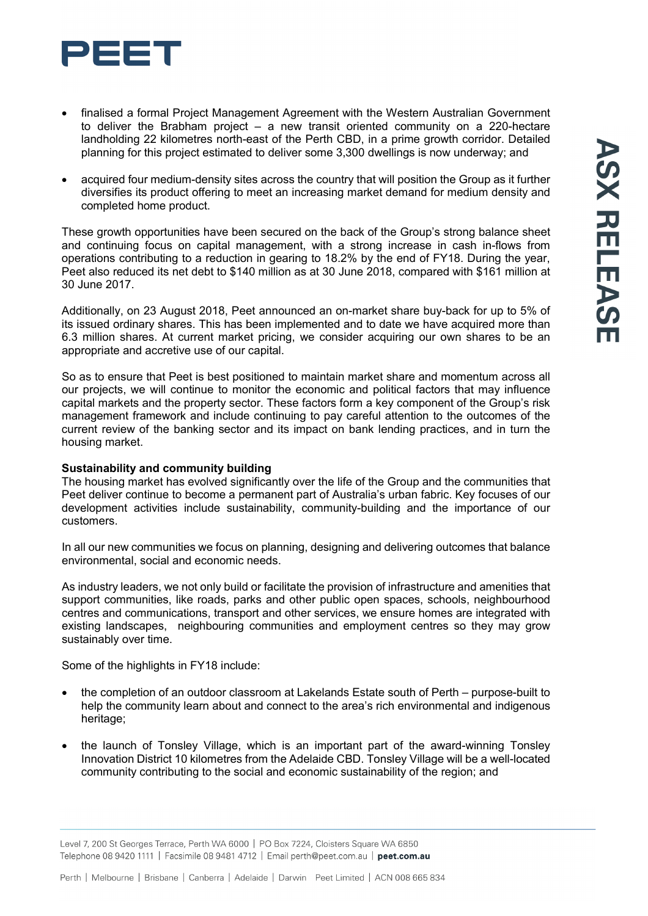

- finalised a formal Project Management Agreement with the Western Australian Government to deliver the Brabham project – a new transit oriented community on a 220-hectare landholding 22 kilometres north-east of the Perth CBD, in a prime growth corridor. Detailed planning for this project estimated to deliver some 3,300 dwellings is now underway; and
- acquired four medium-density sites across the country that will position the Group as it further diversifies its product offering to meet an increasing market demand for medium density and completed home product.

These growth opportunities have been secured on the back of the Group's strong balance sheet and continuing focus on capital management, with a strong increase in cash in-flows from operations contributing to a reduction in gearing to 18.2% by the end of FY18. During the year, Peet also reduced its net debt to \$140 million as at 30 June 2018, compared with \$161 million at 30 June 2017.

Additionally, on 23 August 2018, Peet announced an on-market share buy-back for up to 5% of its issued ordinary shares. This has been implemented and to date we have acquired more than 6.3 million shares. At current market pricing, we consider acquiring our own shares to be an appropriate and accretive use of our capital.

So as to ensure that Peet is best positioned to maintain market share and momentum across all our projects, we will continue to monitor the economic and political factors that may influence capital markets and the property sector. These factors form a key component of the Group's risk management framework and include continuing to pay careful attention to the outcomes of the current review of the banking sector and its impact on bank lending practices, and in turn the housing market.

# **Sustainability and community building**

The housing market has evolved significantly over the life of the Group and the communities that Peet deliver continue to become a permanent part of Australia's urban fabric. Key focuses of our development activities include sustainability, community-building and the importance of our customers.

In all our new communities we focus on planning, designing and delivering outcomes that balance environmental, social and economic needs.

As industry leaders, we not only build or facilitate the provision of infrastructure and amenities that support communities, like roads, parks and other public open spaces, schools, neighbourhood centres and communications, transport and other services, we ensure homes are integrated with existing landscapes, neighbouring communities and employment centres so they may grow sustainably over time.

Some of the highlights in FY18 include:

- the completion of an outdoor classroom at Lakelands Estate south of Perth purpose-built to help the community learn about and connect to the area's rich environmental and indigenous heritage;
- the launch of Tonsley Village, which is an important part of the award-winning Tonsley Innovation District 10 kilometres from the Adelaide CBD. Tonsley Village will be a well-located community contributing to the social and economic sustainability of the region; and

Level 7, 200 St Georges Terrace, Perth WA 6000 | PO Box 7224, Cloisters Square WA 6850 Telephone 08 9420 1111 | Facsimile 08 9481 4712 | Email perth@peet.com.au | peet.com.au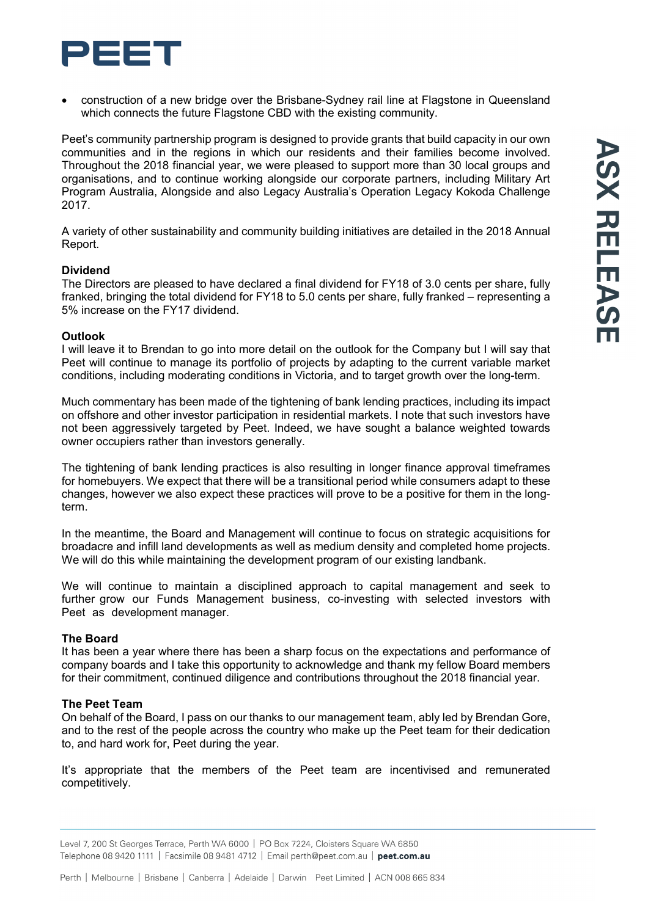

• construction of a new bridge over the Brisbane-Sydney rail line at Flagstone in Queensland which connects the future Flagstone CBD with the existing community.

Peet's community partnership program is designed to provide grants that build capacity in our own communities and in the regions in which our residents and their families become involved. Throughout the 2018 financial year, we were pleased to support more than 30 local groups and organisations, and to continue working alongside our corporate partners, including Military Art Program Australia, Alongside and also Legacy Australia's Operation Legacy Kokoda Challenge 2017.

A variety of other sustainability and community building initiatives are detailed in the 2018 Annual Report.

## **Dividend**

The Directors are pleased to have declared a final dividend for FY18 of 3.0 cents per share, fully franked, bringing the total dividend for FY18 to 5.0 cents per share, fully franked – representing a 5% increase on the FY17 dividend.

#### **Outlook**

I will leave it to Brendan to go into more detail on the outlook for the Company but I will say that Peet will continue to manage its portfolio of projects by adapting to the current variable market conditions, including moderating conditions in Victoria, and to target growth over the long-term.

Much commentary has been made of the tightening of bank lending practices, including its impact on offshore and other investor participation in residential markets. I note that such investors have not been aggressively targeted by Peet. Indeed, we have sought a balance weighted towards owner occupiers rather than investors generally.

The tightening of bank lending practices is also resulting in longer finance approval timeframes for homebuyers. We expect that there will be a transitional period while consumers adapt to these changes, however we also expect these practices will prove to be a positive for them in the longterm.

In the meantime, the Board and Management will continue to focus on strategic acquisitions for broadacre and infill land developments as well as medium density and completed home projects. We will do this while maintaining the development program of our existing landbank.

We will continue to maintain a disciplined approach to capital management and seek to further grow our Funds Management business, co-investing with selected investors with Peet as development manager.

### **The Board**

It has been a year where there has been a sharp focus on the expectations and performance of company boards and I take this opportunity to acknowledge and thank my fellow Board members for their commitment, continued diligence and contributions throughout the 2018 financial year.

#### **The Peet Team**

On behalf of the Board, I pass on our thanks to our management team, ably led by Brendan Gore, and to the rest of the people across the country who make up the Peet team for their dedication to, and hard work for, Peet during the year.

It's appropriate that the members of the Peet team are incentivised and remunerated competitively.

Level 7, 200 St Georges Terrace, Perth WA 6000 | PO Box 7224, Cloisters Square WA 6850 Telephone 08 9420 1111 | Facsimile 08 9481 4712 | Email perth@peet.com.au | peet.com.au